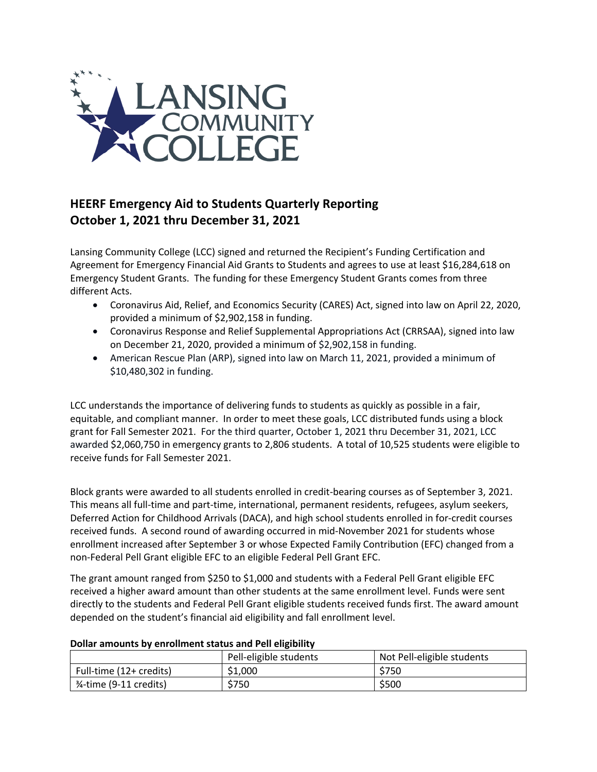

## **HEERF Emergency Aid to Students Quarterly Reporting October 1, 2021 thru December 31, 2021**

Lansing Community College (LCC) signed and returned the Recipient's Funding Certification and Agreement for Emergency Financial Aid Grants to Students and agrees to use at least \$16,284,618 on Emergency Student Grants. The funding for these Emergency Student Grants comes from three different Acts.

- Coronavirus Aid, Relief, and Economics Security (CARES) Act, signed into law on April 22, 2020, provided a minimum of \$2,902,158 in funding.
- Coronavirus Response and Relief Supplemental Appropriations Act (CRRSAA), signed into law on December 21, 2020, provided a minimum of \$2,902,158 in funding.
- American Rescue Plan (ARP), signed into law on March 11, 2021, provided a minimum of \$10,480,302 in funding.

LCC understands the importance of delivering funds to students as quickly as possible in a fair, equitable, and compliant manner. In order to meet these goals, LCC distributed funds using a block grant for Fall Semester 2021. For the third quarter, October 1, 2021 thru December 31, 2021, LCC awarded \$2,060,750 in emergency grants to 2,806 students. A total of 10,525 students were eligible to receive funds for Fall Semester 2021.

Block grants were awarded to all students enrolled in credit-bearing courses as of September 3, 2021. This means all full-time and part-time, international, permanent residents, refugees, asylum seekers, Deferred Action for Childhood Arrivals (DACA), and high school students enrolled in for-credit courses received funds. A second round of awarding occurred in mid-November 2021 for students whose enrollment increased after September 3 or whose Expected Family Contribution (EFC) changed from a non-Federal Pell Grant eligible EFC to an eligible Federal Pell Grant EFC.

The grant amount ranged from \$250 to \$1,000 and students with a Federal Pell Grant eligible EFC received a higher award amount than other students at the same enrollment level. Funds were sent directly to the students and Federal Pell Grant eligible students received funds first. The award amount depended on the student's financial aid eligibility and fall enrollment level.

|                         | Pell-eligible students | Not Pell-eligible students |
|-------------------------|------------------------|----------------------------|
| Full-time (12+ credits) | \$1,000                | \$750                      |
| 3/4-time (9-11 credits) | \$750                  | \$500                      |

## **Dollar amounts by enrollment status and Pell eligibility**